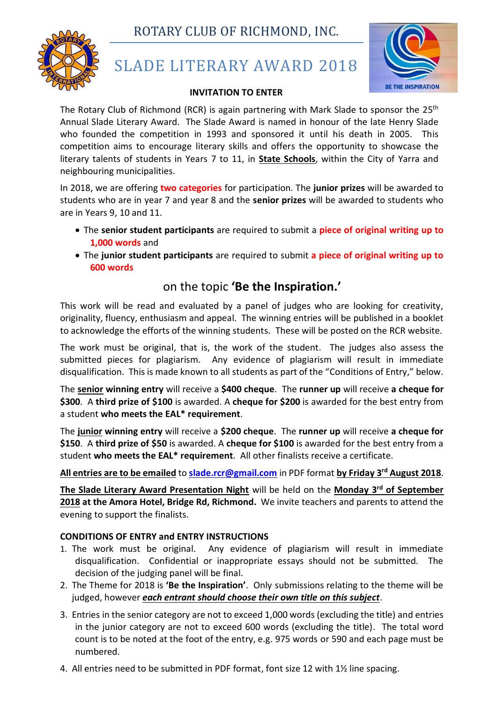ROTARY CLUB OF RICHMOND, INC.



# SLADE LITERARY AWARD 2018



#### **INVITATION TO ENTER**

The Rotary Club of Richmond (RCR) is again partnering with Mark Slade to sponsor the 25<sup>th</sup> Annual Slade Literary Award. The Slade Award is named in honour of the late Henry Slade who founded the competition in 1993 and sponsored it until his death in 2005. This competition aims to encourage literary skills and offers the opportunity to showcase the literary talents of students in Years 7 to 11, in **State Schools**, within the City of Yarra and neighbouring municipalities.

In 2018, we are offering **two categories** for participation. The **junior prizes** will be awarded to students who are in year 7 and year 8 and the **senior prizes** will be awarded to students who are in Years 9, 10 and 11.

- The **senior student participants** are required to submit a **piece of original writing up to 1,000 words** and
- The **junior student participants** are required to submit **a piece of original writing up to 600 words**

# on the topic **'Be the Inspiration.'**

This work will be read and evaluated by a panel of judges who are looking for creativity, originality, fluency, enthusiasm and appeal. The winning entries will be published in a booklet to acknowledge the efforts of the winning students. These will be posted on the RCR website.

The work must be original, that is, the work of the student. The judges also assess the submitted pieces for plagiarism. Any evidence of plagiarism will result in immediate disqualification. This is made known to all students as part of the "Conditions of Entry," below.

The **senior winning entry** will receive a **\$400 cheque**. The **runner up** will receive **a cheque for \$300**. A **third prize of \$100** is awarded. A **cheque for \$200** is awarded for the best entry from a student **who meets the EAL\* requirement**.

The **junior winning entry** will receive a **\$200 cheque**. The **runner up** will receive **a cheque for \$150**. A **third prize of \$50** is awarded. A **cheque for \$100** is awarded for the best entry from a student **who meets the EAL\* requirement**. All other finalists receive a certificate.

# **All entries are to be emailed** to **[slade.rcr@gmail.com](mailto:slade.rcr@gmail.com)** in PDF format **by Friday 3 rd August 2018**.

**The Slade Literary Award Presentation Night** will be held on the **Monday 3<sup>rd</sup> of September 2018 at the Amora Hotel, Bridge Rd, Richmond.** We invite teachers and parents to attend the evening to support the finalists.

#### **CONDITIONS OF ENTRY and ENTRY INSTRUCTIONS**

- 1. The work must be original. Any evidence of plagiarism will result in immediate disqualification. Confidential or inappropriate essays should not be submitted. The decision of the judging panel will be final.
- 2. The Theme for 2018 is **'Be the Inspiration'**. Only submissions relating to the theme will be judged, however *each entrant should choose their own title on this subject*.
- 3. Entries in the senior category are not to exceed 1,000 words (excluding the title) and entries in the junior category are not to exceed 600 words (excluding the title). The total word count is to be noted at the foot of the entry, e.g. 975 words or 590 and each page must be numbered.
- 4. All entries need to be submitted in PDF format, font size 12 with 1½ line spacing.